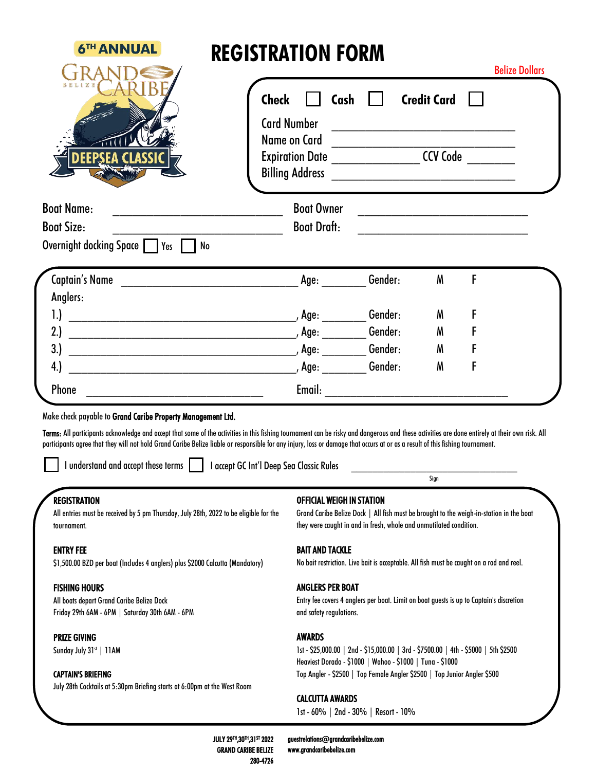| <b>6TH ANNUAL</b>                                                                                                                                                                                                                                                                                                                                                                                                                                                                                                                                   | <b>REGISTRATION FORM</b>           |                                                                                                                                                        |         |                    | <b>Belize Dollars</b>                                                                                                |
|-----------------------------------------------------------------------------------------------------------------------------------------------------------------------------------------------------------------------------------------------------------------------------------------------------------------------------------------------------------------------------------------------------------------------------------------------------------------------------------------------------------------------------------------------------|------------------------------------|--------------------------------------------------------------------------------------------------------------------------------------------------------|---------|--------------------|----------------------------------------------------------------------------------------------------------------------|
|                                                                                                                                                                                                                                                                                                                                                                                                                                                                                                                                                     | <b>Check</b><br><b>Card Number</b> | Cash                                                                                                                                                   |         | <b>Credit Card</b> | <u> La provincia de la contrada de la contrada de la contrada de la contrada de la contrada de la contrada de la</u> |
| E 1                                                                                                                                                                                                                                                                                                                                                                                                                                                                                                                                                 | Name on Card                       | Expiration Date _______________________CCV Code __________                                                                                             |         |                    |                                                                                                                      |
| <b>Boat Name:</b>                                                                                                                                                                                                                                                                                                                                                                                                                                                                                                                                   |                                    | <b>Boat Owner</b>                                                                                                                                      |         |                    | <u> 1980 - John Stein, Amerikaansk politiker (</u>                                                                   |
| <b>Boat Size:</b>                                                                                                                                                                                                                                                                                                                                                                                                                                                                                                                                   |                                    | <b>Boat Draft:</b>                                                                                                                                     |         |                    |                                                                                                                      |
| Overnight docking Space   Yes   No                                                                                                                                                                                                                                                                                                                                                                                                                                                                                                                  |                                    |                                                                                                                                                        |         |                    |                                                                                                                      |
|                                                                                                                                                                                                                                                                                                                                                                                                                                                                                                                                                     |                                    | Age:                                                                                                                                                   | Gender: | M                  | F                                                                                                                    |
| Anglers:                                                                                                                                                                                                                                                                                                                                                                                                                                                                                                                                            |                                    |                                                                                                                                                        |         |                    |                                                                                                                      |
| 1.                                                                                                                                                                                                                                                                                                                                                                                                                                                                                                                                                  |                                    |                                                                                                                                                        | Gender: | M                  | F                                                                                                                    |
| 2.                                                                                                                                                                                                                                                                                                                                                                                                                                                                                                                                                  |                                    |                                                                                                                                                        | Gender: | M                  |                                                                                                                      |
| 3.                                                                                                                                                                                                                                                                                                                                                                                                                                                                                                                                                  |                                    |                                                                                                                                                        |         | M                  |                                                                                                                      |
| 4.                                                                                                                                                                                                                                                                                                                                                                                                                                                                                                                                                  |                                    |                                                                                                                                                        | Gender: | M                  | F                                                                                                                    |
|                                                                                                                                                                                                                                                                                                                                                                                                                                                                                                                                                     |                                    |                                                                                                                                                        |         |                    |                                                                                                                      |
| Phone                                                                                                                                                                                                                                                                                                                                                                                                                                                                                                                                               |                                    |                                                                                                                                                        |         |                    |                                                                                                                      |
| I understand and accept these terms I accept GC Int'l Deep Sea Classic Rules                                                                                                                                                                                                                                                                                                                                                                                                                                                                        |                                    |                                                                                                                                                        |         | Sign               |                                                                                                                      |
| <b>REGISTRATION</b><br>All entries must be received by 5 pm Thursday, July 28th, 2022 to be eligible for the<br>tournament.                                                                                                                                                                                                                                                                                                                                                                                                                         |                                    | <b>OFFICIAL WEIGH IN STATION</b><br>they were caught in and in fresh, whole and unmutilated condition.                                                 |         |                    | Grand Caribe Belize Dock   All fish must be brought to the weigh-in-station in the boat                              |
| Make check payable to Grand Caribe Property Management Ltd.<br>Terms: All participants acknowledge and accept that some of the activities in this fishing tournament can be risky and dangerous and these activities are done entirely at their own risk. All<br>participants agree that they will not hold Grand Caribe Belize liable or responsible for any injury, loss or damage that occurs at or as a result of this fishing tournament.<br><b>ENTRY FEE</b><br>\$1,500.00 BZD per boat (Includes 4 anglers) plus \$2000 Calcutta (Mandatory) |                                    | <b>BAIT AND TACKLE</b>                                                                                                                                 |         |                    | No bait restriction. Live bait is acceptable. All fish must be caught on a rod and reel.                             |
| <b>FISHING HOURS</b><br>All boats depart Grand Caribe Belize Dock<br>Friday 29th 6AM - 6PM   Saturday 30th 6AM - 6PM                                                                                                                                                                                                                                                                                                                                                                                                                                |                                    | <b>ANGLERS PER BOAT</b><br>and safety regulations.                                                                                                     |         |                    | Entry fee covers 4 anglers per boat. Limit on boat guests is up to Captain's discretion                              |
| <b>PRIZE GIVING</b><br>Sunday July 31st   11AM<br><b>CAPTAIN'S BRIEFING</b>                                                                                                                                                                                                                                                                                                                                                                                                                                                                         |                                    | <b>AWARDS</b><br>Heaviest Dorado - \$1000   Wahoo - \$1000   Tuna - \$1000<br>Top Angler - \$2500   Top Female Angler \$2500   Top Junior Angler \$500 |         |                    | 1st - \$25,000.00   2nd - \$15,000.00   3rd - \$7500.00   4th - \$5000   5th \$2500                                  |

JULY 29TH,30TH,31ST 2022 GRAND CARIBE BELIZE 280-4726

guestrelations@grandcaribebelize.com www.grandcaribebelize.com